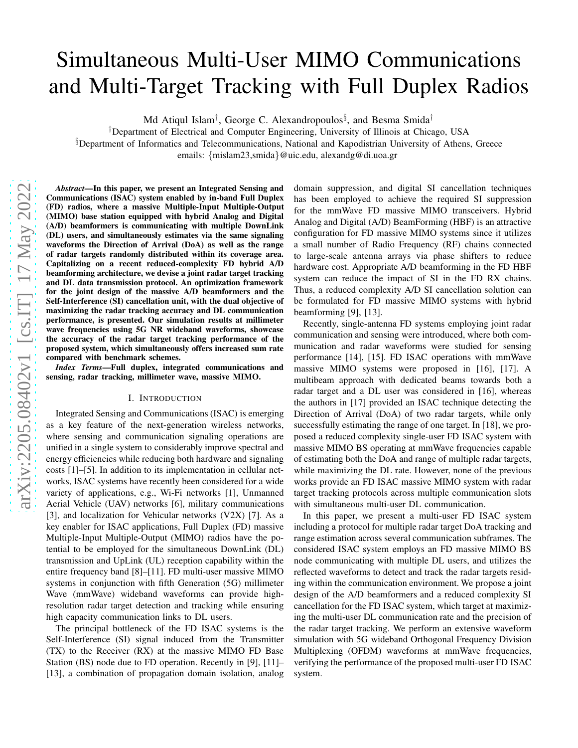# Simultaneous Multi-User MIMO Communications and Multi-Target Tracking with Full Duplex Radios

Md Atiqul Islam<sup>†</sup>, George C. Alexandropoulos<sup>§</sup>, and Besma Smida<sup>†</sup>

†Department of Electrical and Computer Engineering, University of Illinois at Chicago, USA §Department of Informatics and Telecommunications, National and Kapodistrian University of Athens, Greece

emails: {mislam23,smida}@uic.edu, alexandg@di.uoa.gr

*Abstract*—In this paper, we present an Integrated Sensing and Communications (ISAC) system enabled by in-band Full Duplex (FD) radios, where a massive Multiple-Input Multiple-Output (MIMO) base station equipped with hybrid Analog and Digital (A/D) beamformers is communicating with multiple DownLink (DL) users, and simultaneously estimates via the same signaling waveforms the Direction of Arrival (DoA) as well as the range of radar targets randomly distributed within its coverage area. Capitalizing on a recent reduced-complexity FD hybrid A/D beamforming architecture, we devise a joint radar target tracking and DL data transmission protocol. An optimization framework for the joint design of the massive A/D beamformers and the Self-Interference (SI) cancellation unit, with the dual objective of maximizing the radar tracking accuracy and DL communication performance, is presented. Our simulation results at millimeter wave frequencies using 5G NR wideband waveforms, showcase the accuracy of the radar target tracking performance of the proposed system, which simultaneously offers increased sum rate compared with benchmark schemes.

*Index Terms*—Full duplex, integrated communications and sensing, radar tracking, millimeter wave, massive MIMO.

## I. INTRODUCTION

Integrated Sensing and Communications (ISAC) is emerging as a key feature of the next-generation wireless networks, where sensing and communication signaling operations are unified in a single system to considerably improve spectral and energy efficiencies while reducing both hardware and signaling costs [1]–[5]. In addition to its implementation in cellular networks, ISAC systems have recently been considered for a wide variety of applications, e.g., Wi-Fi networks [1], Unmanned Aerial Vehicle (UAV) networks [6], military communications [3], and localization for Vehicular networks (V2X) [7]. As a key enabler for ISAC applications, Full Duplex (FD) massive Multiple-Input Multiple-Output (MIMO) radios have the potential to be employed for the simultaneous DownLink (DL) transmission and UpLink (UL) reception capability within the entire frequency band [8]–[11]. FD multi-user massive MIMO systems in conjunction with fifth Generation (5G) millimeter Wave (mmWave) wideband waveforms can provide highresolution radar target detection and tracking while ensuring high capacity communication links to DL users.

The principal bottleneck of the FD ISAC systems is the Self-Interference (SI) signal induced from the Transmitter (TX) to the Receiver (RX) at the massive MIMO FD Base Station (BS) node due to FD operation. Recently in [9], [11]– [13], a combination of propagation domain isolation, analog

domain suppression, and digital SI cancellation techniques has been employed to achieve the required SI suppression for the mmWave FD massive MIMO transceivers. Hybrid Analog and Digital (A/D) BeamForming (HBF) is an attractive configuration for FD massive MIMO systems since it utilizes a small number of Radio Frequency (RF) chains connected to large-scale antenna arrays via phase shifters to reduce hardware cost. Appropriate A/D beamforming in the FD HBF system can reduce the impact of SI in the FD RX chains. Thus, a reduced complexity A/D SI cancellation solution can be formulated for FD massive MIMO systems with hybrid beamforming [9], [13].

Recently, single-antenna FD systems employing joint radar communication and sensing were introduced, where both communication and radar waveforms were studied for sensing performance [14], [15]. FD ISAC operations with mmWave massive MIMO systems were proposed in [16], [17]. A multibeam approach with dedicated beams towards both a radar target and a DL user was considered in [16], whereas the authors in [17] provided an ISAC technique detecting the Direction of Arrival (DoA) of two radar targets, while only successfully estimating the range of one target. In [18], we proposed a reduced complexity single-user FD ISAC system with massive MIMO BS operating at mmWave frequencies capable of estimating both the DoA and range of multiple radar targets, while maximizing the DL rate. However, none of the previous works provide an FD ISAC massive MIMO system with radar target tracking protocols across multiple communication slots with simultaneous multi-user DL communication.

In this paper, we present a multi-user FD ISAC system including a protocol for multiple radar target DoA tracking and range estimation across several communication subframes. The considered ISAC system employs an FD massive MIMO BS node communicating with multiple DL users, and utilizes the reflected waveforms to detect and track the radar targets residing within the communication environment. We propose a joint design of the A/D beamformers and a reduced complexity SI cancellation for the FD ISAC system, which target at maximizing the multi-user DL communication rate and the precision of the radar target tracking. We perform an extensive waveform simulation with 5G wideband Orthogonal Frequency Division Multiplexing (OFDM) waveforms at mmWave frequencies, verifying the performance of the proposed multi-user FD ISAC system.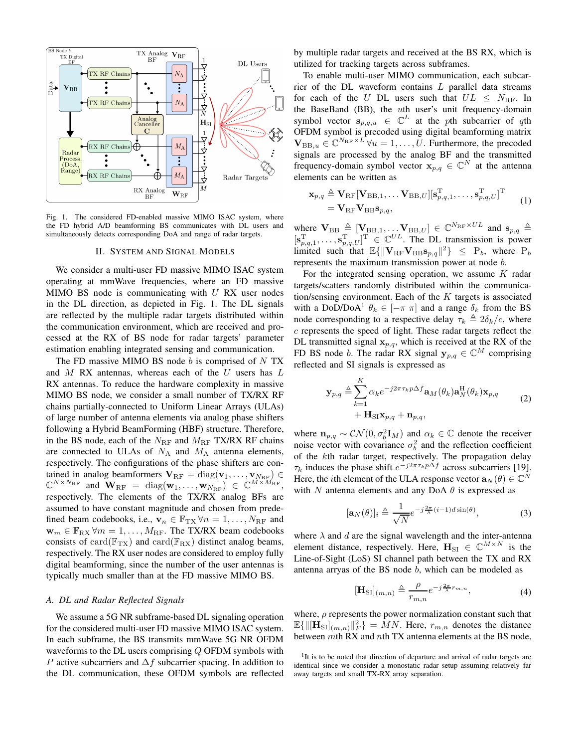

Fig. 1. The considered FD-enabled massive MIMO ISAC system, where the FD hybrid A/D beamforming BS communicates with DL users and simultaneously detects corresponding DoA and range of radar targets.

#### II. SYSTEM AND SIGNAL MODELS

We consider a multi-user FD massive MIMO ISAC system operating at mmWave frequencies, where an FD massive MIMO BS node is communicating with  $U$  RX user nodes in the DL direction, as depicted in Fig. 1. The DL signals are reflected by the multiple radar targets distributed within the communication environment, which are received and processed at the RX of BS node for radar targets' parameter estimation enabling integrated sensing and communication.

The FD massive MIMO BS node  $b$  is comprised of  $N$  TX and  $M$  RX antennas, whereas each of the  $U$  users has  $L$ RX antennas. To reduce the hardware complexity in massive MIMO BS node, we consider a small number of TX/RX RF chains partially-connected to Uniform Linear Arrays (ULAs) of large number of antenna elements via analog phase shifters following a Hybrid BeamForming (HBF) structure. Therefore, in the BS node, each of the  $N_{\text{RF}}$  and  $M_{\text{RF}}$  TX/RX RF chains are connected to ULAs of  $N_A$  and  $M_A$  antenna elements, respectively. The configurations of the phase shifters are contained in analog beamformers  $V_{\text{RF}} = \text{diag}(v_1, \dots, v_{N_{\text{RF}}}) \in$  $\mathbb{C}^{N \times N_{\text{RF}}}$  and  $\mathbf{W}_{\text{RF}} = \text{diag}(\mathbf{w}_1, \dots, \mathbf{w}_{N_{\text{RF}}}) \in \mathbb{C}^{M \times M_{\text{RF}}},$ respectively. The elements of the TX/RX analog BFs are assumed to have constant magnitude and chosen from predefined beam codebooks, i.e.,  $\mathbf{v}_n \in \mathbb{F}_{TX} \forall n = 1, \dots, N_{RF}$  and  $\mathbf{w}_m \in \mathbb{F}_{\text{RX}}$   $\forall m = 1, \dots, M_{\text{RF}}$ . The TX/RX beam codebooks consists of card( $\mathbb{F}_{TX}$ ) and card( $\mathbb{F}_{RX}$ ) distinct analog beams, respectively. The RX user nodes are considered to employ fully digital beamforming, since the number of the user antennas is typically much smaller than at the FD massive MIMO BS.

#### *A. DL and Radar Reflected Signals*

We assume a 5G NR subframe-based DL signaling operation for the considered multi-user FD massive MIMO ISAC system. In each subframe, the BS transmits mmWave 5G NR OFDM waveforms to the DL users comprising Q OFDM symbols with P active subcarriers and  $\Delta f$  subcarrier spacing. In addition to the DL communication, these OFDM symbols are reflected by multiple radar targets and received at the BS RX, which is utilized for tracking targets across subframes.

To enable multi-user MIMO communication, each subcarrier of the DL waveform contains  $L$  parallel data streams for each of the U DL users such that  $UL \leq N_{\text{RF}}$ . In the BaseBand (BB), the uth user's unit frequency-domain symbol vector  $s_{p,q,u} \in \mathbb{C}^L$  at the pth subcarrier of qth OFDM symbol is precoded using digital beamforming matrix  $\mathbf{V}_{\text{BB},u} \in \mathbb{C}^{N_{\text{RF}} \times L}$   $\forall u = 1, \dots, U$ . Furthermore, the precoded signals are processed by the analog BF and the transmitted frequency-domain symbol vector  $\mathbf{x}_{p,q} \in \mathbb{C}^N$  at the antenna elements can be written as

$$
\mathbf{x}_{p,q} \triangleq \mathbf{V}_{\text{RF}}[\mathbf{V}_{\text{BB},1}, \dots, \mathbf{V}_{\text{BB},U}][\mathbf{s}_{p,q,1}^{\text{T}}, \dots, \mathbf{s}_{p,q,U}^{\text{T}}]^{\text{T}} \quad (1)
$$

$$
= \mathbf{V}_{\text{RF}} \mathbf{V}_{\text{BB}} \mathbf{s}_{p,q},
$$

where  $V_{BB} \triangleq [V_{BB,1}, \dots, V_{BB,U}] \in \mathbb{C}^{N_{RF} \times UL}$  and  $s_{p,q} \triangleq$  $[\mathbf{s}_{p,q,1}^{\mathrm{T}}, \dots, \mathbf{s}_{p,q,U}^{\mathrm{T}}]^{\mathrm{T}} \in \mathbb{C}^{UL}$ . The DL transmission is power limited such that  $\mathbb{E}\{\|\mathbf{V}_{\text{RF}}\mathbf{V}_{\text{BB}}\mathbf{s}_{p,q}\|^2\} \leq P_b$ , where  $P_b$ represents the maximum transmission power at node b.

For the integrated sensing operation, we assume  $K$  radar targets/scatters randomly distributed within the communication/sensing environment. Each of the  $K$  targets is associated with a DoD/DoA<sup>1</sup>  $\theta_k \in [-\pi \pi]$  and a range  $\delta_k$  from the BS node corresponding to a respective delay  $\tau_k \triangleq 2\delta_k/c$ , where c represents the speed of light. These radar targets reflect the DL transmitted signal  $x_{p,q}$ , which is received at the RX of the FD BS node b. The radar RX signal  $y_{p,q} \in \mathbb{C}^M$  comprising reflected and SI signals is expressed as

$$
\mathbf{y}_{p,q} \triangleq \sum_{k=1}^{K} \alpha_k e^{-j2\pi\tau_k p \Delta f} \mathbf{a}_M(\theta_k) \mathbf{a}_N^{\mathrm{H}}(\theta_k) \mathbf{x}_{p,q}
$$
  
+ 
$$
\mathbf{H}_{\mathrm{SI}} \mathbf{x}_{p,q} + \mathbf{n}_{p,q},
$$
 (2)

where  $\mathbf{n}_{p,q} \sim \mathcal{CN}(0, \sigma_b^2 \mathbf{I}_M)$  and  $\alpha_k \in \mathbb{C}$  denote the receiver noise vector with covariance  $\sigma_b^2$  and the reflection coefficient of the kth radar target, respectively. The propagation delay  $\tau_k$  induces the phase shift  $e^{-j2\pi\tau_k p\Delta f}$  across subcarriers [19]. Here, the *i*th element of the ULA response vector  $\mathbf{a}_N(\theta) \in \mathbb{C}^N$ with N antenna elements and any DoA  $\theta$  is expressed as

$$
[\mathbf{a}_N(\theta)]_i \triangleq \frac{1}{\sqrt{N}} e^{-j\frac{2\pi}{\lambda}(i-1)d\sin(\theta)},\tag{3}
$$

where  $\lambda$  and  $d$  are the signal wavelength and the inter-antenna element distance, respectively. Here,  $\mathbf{H}_{\text{SI}} \in \mathbb{C}^{M \times N}$  is the Line-of-Sight (LoS) SI channel path between the TX and RX antenna arryas of the BS node b, which can be modeled as

$$
\left[\mathbf{H}_{\mathrm{SI}}\right]_{(m,n)} \triangleq \frac{\rho}{r_{m,n}} e^{-j\frac{2\pi}{\lambda}r_{m,n}},\tag{4}
$$

where,  $\rho$  represents the power normalization constant such that  $\mathbb{E}\{\|\mathbf{H}_{\text{SI}}|_{(m,n)}\|_{F}^{2}\} = MN$ . Here,  $r_{m,n}$  denotes the distance between mth RX and nth TX antenna elements at the BS node,

<sup>&</sup>lt;sup>1</sup>It is to be noted that direction of departure and arrival of radar targets are identical since we consider a monostatic radar setup assuming relatively far away targets and small TX-RX array separation.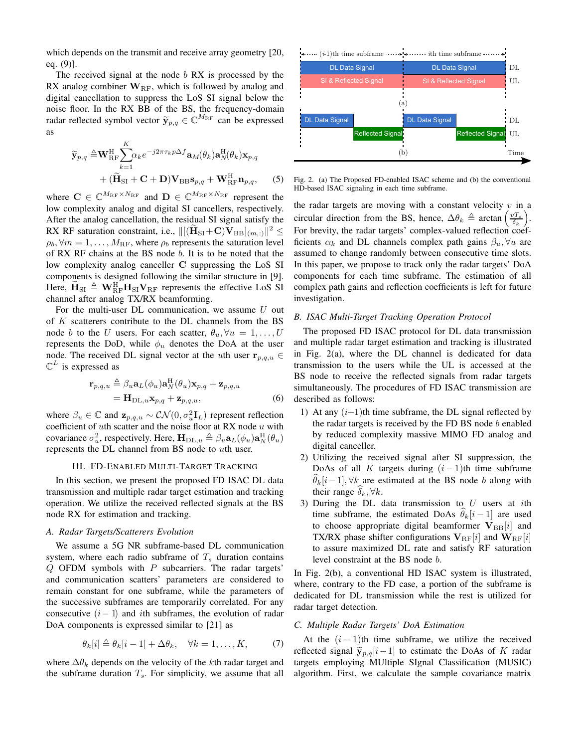which depends on the transmit and receive array geometry [20, eq. (9)].

The received signal at the node  $b$  RX is processed by the RX analog combiner  $W_{\text{RF}}$ , which is followed by analog and digital cancellation to suppress the LoS SI signal below the noise floor. In the RX BB of the BS, the frequency-domain radar reflected symbol vector  $\widetilde{\mathbf{y}}_{p,q} \in \mathbb{C}^{M_{\text{RF}}}$  can be expressed as

$$
\widetilde{\mathbf{y}}_{p,q} \triangleq \mathbf{W}_{\text{RF}}^{\text{H}} \sum_{k=1}^{K} \alpha_k e^{-j2\pi\tau_k p \Delta f} \mathbf{a}_M(\theta_k) \mathbf{a}_N^{\text{H}}(\theta_k) \mathbf{x}_{p,q} + (\widetilde{\mathbf{H}}_{\text{SI}} + \mathbf{C} + \mathbf{D}) \mathbf{V}_{\text{BB}} \mathbf{s}_{p,q} + \mathbf{W}_{\text{RF}}^{\text{H}} \mathbf{n}_{p,q}, \quad (5)
$$

where  $\mathbf{C} \in \mathbb{C}^{M_{\text{RF}} \times N_{\text{RF}}}$  and  $\mathbf{D} \in \mathbb{C}^{M_{\text{RF}} \times N_{\text{RF}}}$  represent the low complexity analog and digital SI cancellers, respectively. After the analog cancellation, the residual SI signal satisfy the RX RF saturation constraint, i.e.,  $\|[(\mathbf{H}_{\text{SI}}+ \mathbf{C})\mathbf{V}_{\text{BB}}]_{(m,:)}\|^2 \leq$  $\rho_b$ ,  $\forall m = 1, \dots, M_{\rm RF}$ , where  $\rho_b$  represents the saturation level of RX RF chains at the BS node b. It is to be noted that the low complexity analog canceller C suppressing the LoS SI components is designed following the similar structure in [9]. Here,  $\widetilde{H}_{SI} \triangleq W_{RF}^{H}H_{SI}V_{RF}$  represents the effective LoS SI channel after analog TX/RX beamforming.

For the multi-user DL communication, we assume  $U$  out of K scatterers contribute to the DL channels from the BS node b to the U users. For each scatter,  $\theta_u$ ,  $\forall u = 1, \ldots, U$ represents the DoD, while  $\phi_u$  denotes the DoA at the user node. The received DL signal vector at the uth user  $\mathbf{r}_{p,q,u} \in$  $\mathbb{C}^{L}$  is expressed as

$$
\mathbf{r}_{p,q,u} \triangleq \beta_u \mathbf{a}_L(\phi_u) \mathbf{a}_N^{\mathrm{H}}(\theta_u) \mathbf{x}_{p,q} + \mathbf{z}_{p,q,u}
$$
  
= 
$$
\mathbf{H}_{\mathrm{DL},u} \mathbf{x}_{p,q} + \mathbf{z}_{p,q,u},
$$
 (6)

where  $\beta_u \in \mathbb{C}$  and  $\mathbf{z}_{p,q,u} \sim \mathcal{CN}(0, \sigma_u^2 \mathbf{I}_L)$  represent reflection coefficient of  $u$ th scatter and the noise floor at RX node  $u$  with covariance  $\sigma_u^2$ , respectively. Here,  $\mathbf{H}_{\text{DL},u} \triangleq \beta_u \mathbf{a}_L(\phi_u) \mathbf{a}_N^{\text{H}}(\theta_u)$ represents the DL channel from BS node to uth user.

# III. FD-ENABLED MULTI-TARGET TRACKING

In this section, we present the proposed FD ISAC DL data transmission and multiple radar target estimation and tracking operation. We utilize the received reflected signals at the BS node RX for estimation and tracking.

### *A. Radar Targets/Scatterers Evolution*

We assume a 5G NR subframe-based DL communication system, where each radio subframe of  $T<sub>s</sub>$  duration contains  $Q$  OFDM symbols with  $P$  subcarriers. The radar targets' and communication scatters' parameters are considered to remain constant for one subframe, while the parameters of the successive subframes are temporarily correlated. For any consecutive  $(i-1)$  and *i*th subframes, the evolution of radar DoA components is expressed similar to [21] as

$$
\theta_k[i] \triangleq \theta_k[i-1] + \Delta \theta_k, \quad \forall k = 1, \dots, K,
$$
 (7)

where  $\Delta\theta_k$  depends on the velocity of the kth radar target and the subframe duration  $T_s$ . For simplicity, we assume that all



Fig. 2. (a) The Proposed FD-enabled ISAC scheme and (b) the conventional HD-based ISAC signaling in each time subframe.

the radar targets are moving with a constant velocity  $v$  in a circular direction from the BS, hence,  $\Delta \theta_k \triangleq \arctan \left( \frac{v_{\text{T}_s}}{\delta_k} \right)$ .<br>. For brevity, the radar targets' complex-valued reflection coefficients  $\alpha_k$  and DL channels complex path gains  $\beta_u$ ,  $\forall u$  are assumed to change randomly between consecutive time slots. In this paper, we propose to track only the radar targets' DoA components for each time subframe. The estimation of all complex path gains and reflection coefficients is left for future investigation.

## *B. ISAC Multi-Target Tracking Operation Protocol*

The proposed FD ISAC protocol for DL data transmission and multiple radar target estimation and tracking is illustrated in Fig. 2(a), where the DL channel is dedicated for data transmission to the users while the UL is accessed at the BS node to receive the reflected signals from radar targets simultaneously. The procedures of FD ISAC transmission are described as follows:

- 1) At any  $(i-1)$ th time subframe, the DL signal reflected by the radar targets is received by the FD BS node b enabled by reduced complexity massive MIMO FD analog and digital canceller.
- 2) Utilizing the received signal after SI suppression, the DoAs of all K targets during  $(i - 1)$ th time subframe  $\theta_k[i-1], \forall k$  are estimated at the BS node b along with their range  $\delta_k$ ,  $\forall k$ .
- 3) During the DL data transmission to  $U$  users at ith time subframe, the estimated DoAs  $\theta_k[i-1]$  are used to choose appropriate digital beamformer  $V_{BB}[i]$  and TX/RX phase shifter configurations  $V_{RF}[i]$  and  $W_{RF}[i]$ to assure maximized DL rate and satisfy RF saturation level constraint at the BS node b.

In Fig. 2(b), a conventional HD ISAC system is illustrated, where, contrary to the FD case, a portion of the subframe is dedicated for DL transmission while the rest is utilized for radar target detection.

#### *C. Multiple Radar Targets' DoA Estimation*

At the  $(i - 1)$ th time subframe, we utilize the received reflected signal  $\widetilde{\mathbf{y}}_{p,q}[i-1]$  to estimate the DoAs of K radar targets employing MUltiple SIgnal Classification (MUSIC) algorithm. First, we calculate the sample covariance matrix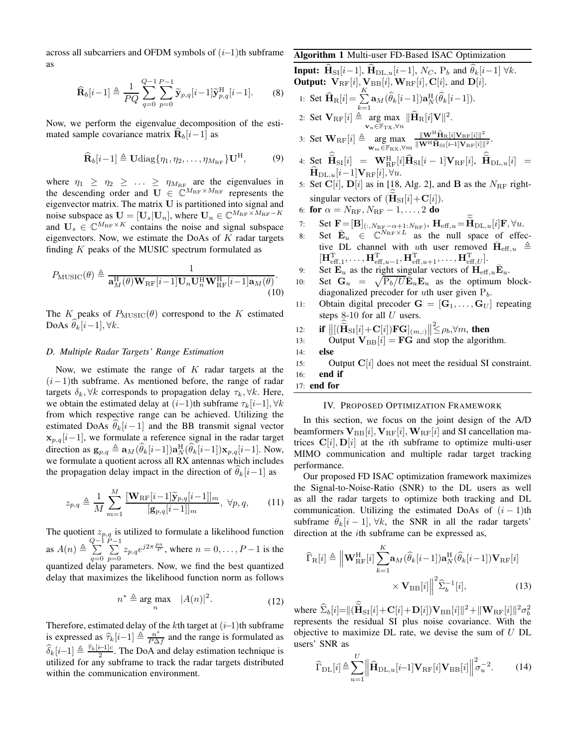across all subcarriers and OFDM symbols of  $(i-1)$ th subframe as

$$
\widehat{\mathbf{R}}_b[i-1] \triangleq \frac{1}{PQ} \sum_{q=0}^{Q-1} \sum_{p=0}^{P-1} \widetilde{\mathbf{y}}_{p,q}[i-1] \widetilde{\mathbf{y}}_{p,q}^{\mathrm{H}}[i-1].
$$
 (8)

Now, we perform the eigenvalue decomposition of the est mated sample covariance matrix  $\mathbf{R}_b[i-1]$  as

$$
\widehat{\mathbf{R}}_b[i-1] \triangleq \mathbf{U} \text{diag}\{\eta_1, \eta_2, \dots, \eta_{M_{\text{RF}}} \} \mathbf{U}^{\text{H}},
$$
 (9)

where  $\eta_1 \geq \eta_2 \geq \ldots \geq \eta_{M_{\text{RF}}}$  are the eigenvalues in the descending order and  $\mathbf{U} \in \mathbb{C}^{M_{\text{RF}} \times M_{\text{RF}}}$  represents the eigenvector matrix. The matrix  $U$  is partitioned into signal and noise subspace as  $\mathbf{U} = [\mathbf{U}_s | \mathbf{U}_n]$ , where  $\mathbf{U}_n \in \mathbb{C}^{M_{\text{RF}} \times M_{\text{RF}}-1}$ and  $U_s \in \mathbb{C}^{M_{\text{RF}} \times K}$  contains the noise and signal subspace eigenvectors. Now, we estimate the DoAs of  $K$  radar targets finding  $K$  peaks of the MUSIC spectrum formulated as

$$
P_{\text{MUSIC}}(\theta) \triangleq \frac{1}{\mathbf{a}_{M}^{\text{H}}(\theta)\mathbf{W}_{\text{RF}}[i-1]\mathbf{U}_{n}\mathbf{U}_{n}^{\text{H}}\mathbf{W}_{\text{RF}}^{\text{H}}[i-1]\mathbf{a}_{M}(\theta)}.
$$
\n(10)

The K peaks of  $P_{\text{MUSIC}}(\theta)$  correspond to the K estimated DoAs  $\theta_k[i-1], \forall k$ .

# *D. Multiple Radar Targets' Range Estimation*

Now, we estimate the range of  $K$  radar targets at the  $(i-1)$ th subframe. As mentioned before, the range of radar targets  $\delta_k$ ,  $\forall k$  corresponds to propagation delay  $\tau_k$ ,  $\forall k$ . Here, we obtain the estimated delay at  $(i-1)$ th subframe  $\tau_k[i-1], \forall k$ from which respective range can be achieved. Utilizing the estimated DoAs  $\theta_k[i-1]$  and the BB transmit signal vector  $\mathbf{x}_{p,q}[i-1]$ , we formulate a reference signal in the radar target direction as  $\mathbf{g}_{p,q} \triangleq \mathbf{a}_M(\widehat{\theta}_k[i-1])\mathbf{a}_N^{\text{H}}(\widehat{\theta}_k[i-1])\mathbf{x}_{p,q}[i-1]$ . Now, we formulate a quotient across all RX antennas which includes the propagation delay impact in the direction of  $\theta_k[i-1]$  as

$$
z_{p,q} \triangleq \frac{1}{M} \sum_{m=1}^{M} \frac{\left[\mathbf{W}_{\text{RF}}[i-1]\widetilde{\mathbf{y}}_{p,q}[i-1]\right]_m}{\left[\mathbf{g}_{p,q}[i-1]\right]_m}, \ \forall p,q,\qquad(11)
$$

The quotient  $z_{p,q}$  is utilized to formulate a likelihood function as  $A(n) \triangleq \sum_{n=1}^{Q-1}$  $q=0$  $\sum_{i=1}^{P-1}$  $\sum_{p=0}^{\infty} z_{p,q} e^{j2\pi \frac{pn}{p}}$ , where  $n = 0, \dots, P-1$  is the quantized delay parameters. Now, we find the best quantized delay that maximizes the likelihood function norm as follows

$$
n^* \triangleq \arg \max_{n} \quad |A(n)|^2. \tag{12}
$$

Therefore, estimated delay of the kth target at  $(i-1)$ th subframe is expressed as  $\hat{\tau}_k[i-1] \triangleq \frac{n^*}{P\Delta f}$  and the range is formulated as  $\widehat{\delta}_k[i-1] \triangleq \frac{\widehat{\tau}_k[i-1]c}{2}$ . The DoA and delay estimation technique is utilized for any subframe to track the radar targets distributed within the communication environment.

## Algorithm 1 Multi-user FD-Based ISAC Optimization

**Input:** 
$$
H_{SI}[i-1]
$$
,  $H_{DL,u}[i-1]$ ,  $N_C$ ,  $P_b$  and  $\theta_k[i-1] \forall k$ .  
\n**Output:**  $V_{RF}[i]$ ,  $V_{BB}[i]$ ,  $W_{RF}[i]$ ,  $C[i]$ , and  $D[i]$ .  
\n1: Set  $\widehat{H}_R[i] = \sum_{k=1}^K a_M(\widehat{\theta}_k[i-1])a_N^H(\widehat{\theta}_k[i-1])$ .  
\n2: Set  $V_{RF}[i] \triangleq \arg \max_{v_n \in \mathbb{F}_{TX}, \forall n} ||\widehat{H}_R[i]V||^2$ .  
\n3: Set  $W_{RF}[i] \triangleq \arg \max_{w_m \in \mathbb{F}_{RX}, \forall m} \frac{||W^H \widehat{H}_R[i]V_{RF}[i]||^2}{||W^H \widehat{H}_{SI}[i-1]V_{RF}[i]||^2}$ .  
\n9) 4: Set  $\widehat{\widetilde{H}}_{SI}[i] = W_{RF}^H[i] \widehat{H}_{SI}[i-1]V_{RF}[i]$ ,  $\widehat{\widetilde{H}}_{DL,u}[i] = \widehat{H}_{DL,u}[i-1]V_{RF}[i]$ ,  $\forall u$ .  
\n5: Set  $C[i]$ ,  $D[i]$  as in [18, Alg. 2], and **B** as the  $N_{RF}$  right-  
\nsingular vectors of  $(\widehat{H}_{SI}[i] + C[i])$ .  
\n6: **for**  $\alpha = N_{RF}$ ,  $N_{RF} - 1$ , ..., 2 **do**  
\n7: Set  $\mathbf{F} = [\mathbf{B}]_{(:,N_{RF} - \alpha + 1:N_{RF})}$ ,  $\mathbf{H}_{eff,u} = \widehat{\widetilde{H}}_{DL,u}[i] \mathbf{F}$ ,  $\forall u$ .

- 8: Set  $\mathbf{\bar{E}}_u \in \mathbb{C}^{N_{\text{RF}} \times L}$  as the null space of effective DL channel with uth user removed  $\bar{H}_{eff,u} \triangleq$  $[\mathbf{H}_{\text{eff},1}^{\text{T}}, \ldots, \mathbf{H}_{\text{eff},u-1}^{\text{T}}, \mathbf{H}_{\text{eff},u+1}^{\text{T}}, \ldots, \mathbf{H}_{\text{eff},U}^{\text{T}}].$
- 9: Set  $\mathbf{E}_u$  as the right singular vectors of  $\mathbf{H}_{\text{eff},u}\bar{\mathbf{E}}_u$ .
- 10: Set  $\mathbf{G}_u = \sqrt{\mathbf{P}_b/U}\mathbf{E}_u \mathbf{E}_u$  as the optimum blockdiagonalized precoder for *uth* user given  $P<sub>b</sub>$ .
- 11: Obtain digital precoder  $G = [G_1, \ldots, G_U]$  repeating steps  $8-10$  for all  $U$  users.

12: if 
$$
||[(\widetilde{\mathbf{H}}_{\mathrm{SI}}[i] + \mathbf{C}[i])\mathbf{F}\mathbf{G}]_{(m,:)}|| \leq \rho_b, \forall m
$$
, then

13: Output 
$$
V_{BB}[i] = FG
$$
 and stop the algorithm.

14: else

15: Output  $C[i]$  does not meet the residual SI constraint. 16: end if

17: end for

#### IV. PROPOSED OPTIMIZATION FRAMEWORK

In this section, we focus on the joint design of the A/D beamformers  $V_{BB}[i], V_{RF}[i], W_{RF}[i]$  and SI cancellation matrices  $C[i], D[i]$  at the *i*th subframe to optimize multi-user MIMO communication and multiple radar target tracking performance.

Our proposed FD ISAC optimization framework maximizes the Signal-to-Noise-Ratio (SNR) to the DL users as well as all the radar targets to optimize both tracking and DL communication. Utilizing the estimated DoAs of  $(i - 1)$ th subframe  $\theta_k[i-1], \forall k$ , the SNR in all the radar targets' direction at the ith subframe can be expressed as,

$$
\widehat{\Gamma}_{\mathrm{R}}[i] \triangleq \left\| \mathbf{W}_{\mathrm{RF}}^{\mathrm{H}}[i] \sum_{k=1}^{K} \mathbf{a}_{M} (\widehat{\theta}_{k}[i-1]) \mathbf{a}_{N}^{\mathrm{H}}(\widehat{\theta}_{k}[i-1]) \mathbf{V}_{\mathrm{RF}}[i] \right\| \times \mathbf{V}_{\mathrm{BB}}[i] \right\|^{2} \widehat{\Sigma}_{b}^{-1}[i], \tag{13}
$$

where  $\widehat{\Sigma}_b[i]= ||(\widetilde{\mathbf{H}}_{\rm SI}[i]+\mathbf{C}[i]+\mathbf{D}[i])\mathbf{V}_{\rm BB}[i]||^2+ \|\mathbf{W}_{\rm RF}[i]\|^2\sigma_b^2$ represents the residual SI plus noise covariance. With the objective to maximize  $DL$  rate, we devise the sum of  $U$   $DL$ users' SNR as

$$
\widehat{\Gamma}_{\text{DL}}[i] \triangleq \sum_{u=1}^{U} \left\| \widehat{\mathbf{H}}_{\text{DL},u}[i-1] \mathbf{V}_{\text{RF}}[i] \mathbf{V}_{\text{BB}}[i] \right\| \sigma_{u}^{2}.
$$
 (14)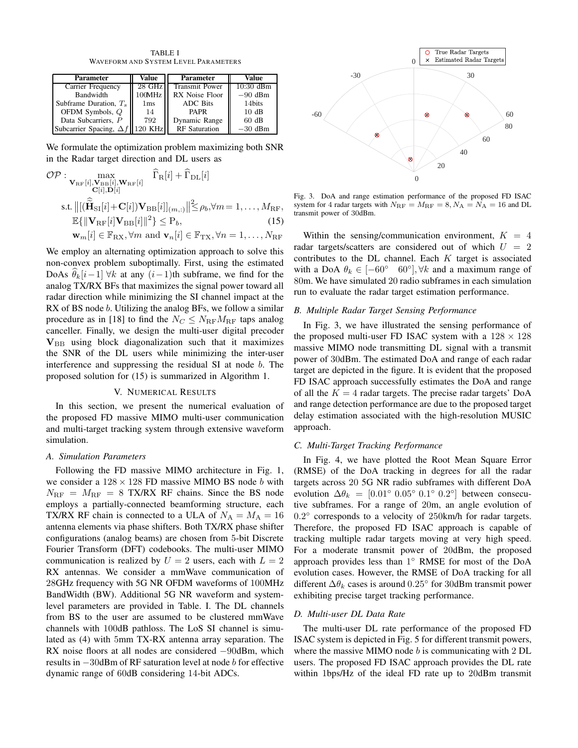TABLE I WAVEFORM AND SYSTEM LEVEL PARAMETERS

| Parameter                      | Value           | <b>Parameter</b>      | Value       |
|--------------------------------|-----------------|-----------------------|-------------|
| Carrier Frequency              | 28 GHz          | <b>Transmit Power</b> | $10:30$ dBm |
| <b>Bandwidth</b>               | 100MHz          | RX Noise Floor        | $-90$ dBm   |
| Subframe Duration, $T_s$       | 1 <sub>ms</sub> | <b>ADC</b> Bits       | 14bits      |
| OFDM Symbols, Q                | 14              | <b>PAPR</b>           | 10dB        |
| Data Subcarriers. P            | 792             | Dynamic Range         | 60 dB       |
| Subcarrier Spacing, $\Delta f$ | 120 KHz         | <b>RF</b> Saturation  | $-30$ dBm   |

We formulate the optimization problem maximizing both SNR in the Radar target direction and DL users as

$$
\mathcal{OP}: \underset{\mathbf{C}[i], \mathbf{D}[i]}{\max} \widehat{\Gamma}_{\mathrm{R}}[i] + \widehat{\Gamma}_{\mathrm{DL}}[i]
$$
\n
$$
\text{s.t. } ||[(\widehat{\mathbf{H}}_{\mathrm{SI}}[i] + \mathbf{C}[i])\mathbf{V}_{\mathrm{BB}}[i]]_{(m,:)}|| \leq \rho_b, \forall m = 1, \dots, M_{\mathrm{RF}},
$$
\n
$$
\mathbb{E}\{||\mathbf{V}_{\mathrm{RF}}[i]\mathbf{V}_{\mathrm{BB}}[i]||^{2}\} \leq P_b, \tag{15}
$$

$$
\mathbf{w}_m[i] \in \mathbb{F}_{\mathrm{RX}}, \forall m \text{ and } \mathbf{v}_n[i] \in \mathbb{F}_{\mathrm{TX}}, \forall n = 1, \ldots, N_{\mathrm{RF}}
$$

We employ an alternating optimization approach to solve this non-convex problem suboptimally. First, using the estimated DoAs  $\theta_k[i-1] \forall k$  at any  $(i-1)$ th subframe, we find for the analog TX/RX BFs that maximizes the signal power toward all radar direction while minimizing the SI channel impact at the RX of BS node *b*. Utilizing the analog BFs, we follow a similar procedure as in [18] to find the  $N_C \leq N_{\text{RF}} M_{\text{RF}}$  taps analog canceller. Finally, we design the multi-user digital precoder  $V_{BB}$  using block diagonalization such that it maximizes the SNR of the DL users while minimizing the inter-user interference and suppressing the residual SI at node b. The proposed solution for (15) is summarized in Algorithm 1.

# V. NUMERICAL RESULTS

In this section, we present the numerical evaluation of the proposed FD massive MIMO multi-user communication and multi-target tracking system through extensive waveform simulation.

## *A. Simulation Parameters*

Following the FD massive MIMO architecture in Fig. 1, we consider a  $128 \times 128$  FD massive MIMO BS node b with  $N_{\text{RF}} = M_{\text{RF}} = 8$  TX/RX RF chains. Since the BS node employs a partially-connected beamforming structure, each TX/RX RF chain is connected to a ULA of  $N_A = M_A = 16$ antenna elements via phase shifters. Both TX/RX phase shifter configurations (analog beams) are chosen from 5-bit Discrete Fourier Transform (DFT) codebooks. The multi-user MIMO communication is realized by  $U = 2$  users, each with  $L = 2$ RX antennas. We consider a mmWave communication of 28GHz frequency with 5G NR OFDM waveforms of 100MHz BandWidth (BW). Additional 5G NR waveform and systemlevel parameters are provided in Table. I. The DL channels from BS to the user are assumed to be clustered mmWave channels with 100dB pathloss. The LoS SI channel is simulated as (4) with 5mm TX-RX antenna array separation. The RX noise floors at all nodes are considered −90dBm, which results in −30dBm of RF saturation level at node b for effective dynamic range of 60dB considering 14-bit ADCs.



Fig. 3. DoA and range estimation performance of the proposed FD ISAC system for 4 radar targets with  $N_{\text{RF}} = M_{\text{RF}} = 8, N_{\text{A}} = N_{\text{A}} = 16$  and DL transmit power of 30dBm.

Within the sensing/communication environment,  $K = 4$ radar targets/scatters are considered out of which  $U = 2$ contributes to the DL channel. Each  $K$  target is associated with a DoA  $\theta_k \in [-60^\circ \ 60^\circ], \forall k$  and a maximum range of 80m. We have simulated 20 radio subframes in each simulation run to evaluate the radar target estimation performance.

#### *B. Multiple Radar Target Sensing Performance*

In Fig. 3, we have illustrated the sensing performance of the proposed multi-user FD ISAC system with a  $128 \times 128$ massive MIMO node transmitting DL signal with a transmit power of 30dBm. The estimated DoA and range of each radar target are depicted in the figure. It is evident that the proposed FD ISAC approach successfully estimates the DoA and range of all the  $K = 4$  radar targets. The precise radar targets' DoA and range detection performance are due to the proposed target delay estimation associated with the high-resolution MUSIC approach.

# *C. Multi-Target Tracking Performance*

In Fig. 4, we have plotted the Root Mean Square Error (RMSE) of the DoA tracking in degrees for all the radar targets across 20 5G NR radio subframes with different DoA evolution  $\Delta \theta_k = [0.01^\circ \ 0.05^\circ \ 0.1^\circ \ 0.2^\circ]$  between consecutive subframes. For a range of 20m, an angle evolution of 0.2° corresponds to a velocity of 250km/h for radar targets. Therefore, the proposed FD ISAC approach is capable of tracking multiple radar targets moving at very high speed. For a moderate transmit power of 20dBm, the proposed approach provides less than 1° RMSE for most of the DoA evolution cases. However, the RMSE of DoA tracking for all different  $\Delta\theta_k$  cases is around 0.25° for 30dBm transmit power exhibiting precise target tracking performance.

# *D. Multi-user DL Data Rate*

The multi-user DL rate performance of the proposed FD ISAC system is depicted in Fig. 5 for different transmit powers, where the massive MIMO node  $b$  is communicating with 2 DL users. The proposed FD ISAC approach provides the DL rate within 1bps/Hz of the ideal FD rate up to 20dBm transmit